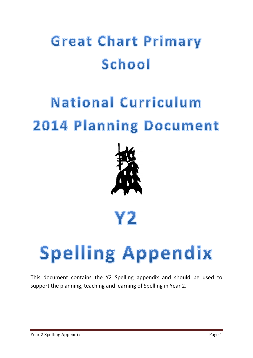## **Great Chart Primary** School

## **National Curriculum** 2014 Planning Document



## Y2

# **Spelling Appendix**

This document contains the Y2 Spelling appendix and should be used to support the planning, teaching and learning of Spelling in Year 2.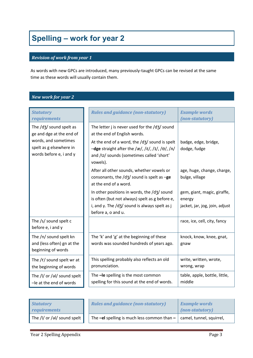### **Spelling – work for year 2**

#### *Revision of work from year 1*

As words with new GPCs are introduced, many previously-taught GPCs can be revised at the same time as these words will usually contain them.

### *New work for year 2*

| <b>Statutory</b><br>requirements                                                                                                  | <b>Rules and guidance (non-statutory)</b>                                                                                                                                                                                                                   | <b>Example words</b><br>(non-statutory)                                 |
|-----------------------------------------------------------------------------------------------------------------------------------|-------------------------------------------------------------------------------------------------------------------------------------------------------------------------------------------------------------------------------------------------------------|-------------------------------------------------------------------------|
| The /d3/ sound spelt as<br>ge and dge at the end of<br>words, and sometimes<br>spelt as g elsewhere in<br>words before e, i and y | The letter j is never used for the $\frac{d}{d}$ sound<br>at the end of English words.<br>At the end of a word, the /d3/ sound is spelt<br>$-\text{dge}$ straight after the /æ/, /ɛ/, /ɪ/, /ɒ/, /ʌ/<br>and /U/ sounds (sometimes called 'short'<br>vowels). | badge, edge, bridge,<br>dodge, fudge                                    |
|                                                                                                                                   | After all other sounds, whether vowels or<br>consonants, the $\frac{d}{3}$ sound is spelt as $-g$ e<br>at the end of a word.                                                                                                                                | age, huge, change, charge,<br>bulge, village                            |
|                                                                                                                                   | In other positions in words, the /d3/ sound<br>is often (but not always) spelt as g before e,<br>i, and y. The $\frac{d}{3}$ sound is always spelt as j<br>before a, o and u.                                                                               | gem, giant, magic, giraffe,<br>energy<br>jacket, jar, jog, join, adjust |
| The /s/ sound spelt c<br>before e, i and y                                                                                        |                                                                                                                                                                                                                                                             | race, ice, cell, city, fancy                                            |
| The /n/ sound spelt kn<br>and (less often) gn at the<br>beginning of words                                                        | The 'k' and 'g' at the beginning of these<br>words was sounded hundreds of years ago.                                                                                                                                                                       | knock, know, knee, gnat,<br>gnaw                                        |
| The /r/ sound spelt wr at<br>the beginning of words                                                                               | This spelling probably also reflects an old<br>pronunciation.                                                                                                                                                                                               | write, written, wrote,<br>wrong, wrap                                   |
| The /l/ or /al/ sound spelt<br>-le at the end of words                                                                            | The -le spelling is the most common<br>spelling for this sound at the end of words.                                                                                                                                                                         | table, apple, bottle, little,<br>middle                                 |

| <b>Statutory</b><br><i>requirements</i> | <b>Rules and guidance (non-statutory)</b>                                   | <b>Example words</b><br>(non-statutory) |
|-----------------------------------------|-----------------------------------------------------------------------------|-----------------------------------------|
| The /l/ or /al/ sound spelt             | The -el spelling is much less common than $ \vert$ camel, tunnel, squirrel, |                                         |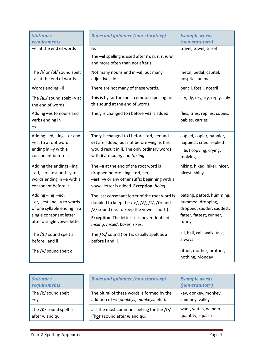| <b>Statutory</b><br>requirements                                                                                                      | <b>Rules and guidance (non-statutory)</b>                                                                                                                                                                                                                                    | <b>Example words</b><br>(non-statutory)                                                                          |
|---------------------------------------------------------------------------------------------------------------------------------------|------------------------------------------------------------------------------------------------------------------------------------------------------------------------------------------------------------------------------------------------------------------------------|------------------------------------------------------------------------------------------------------------------|
| -el at the end of words                                                                                                               | le.<br>The $-eI$ spelling is used after $m$ , n, r, s, v, w<br>and more often than not after s.                                                                                                                                                                              | travel, towel, tinsel                                                                                            |
| The /l/ or /al/ sound spelt<br>-al at the end of words                                                                                | Not many nouns end in -al, but many<br>adjectives do.                                                                                                                                                                                                                        | metal, pedal, capital,<br>hospital, animal                                                                       |
| Words ending-il                                                                                                                       | There are not many of these words.                                                                                                                                                                                                                                           | pencil, fossil, nostril                                                                                          |
| The $/ai/$ sound spelt $-y$ at<br>the end of words                                                                                    | This is by far the most common spelling for<br>this sound at the end of words.                                                                                                                                                                                               | cry, fly, dry, try, reply, July                                                                                  |
| Adding -es to nouns and<br>verbs ending in<br>-у                                                                                      | The $y$ is changed to i before $-es$ is added.                                                                                                                                                                                                                               | flies, tries, replies, copies,<br>babies, carries                                                                |
| Adding -ed, -ing, -er and<br>-est to a root word<br>ending in $-y$ with a<br>consonant before it                                      | The y is changed to i before $-\text{ed}$ , $-\text{er}$ and $-$<br>est are added, but not before -ing as this<br>would result in ii. The only ordinary words<br>with ii are skiing and taxiing.                                                                             | copied, copier, happier,<br>happiest, cried, replied<br>but copying, crying,<br>replying                         |
| Adding the endings -ing,<br>-ed, -er, -est and -y to<br>words ending in -e with a<br>consonant before it                              | The $-e$ at the end of the root word is<br>dropped before -ing, -ed, -er,<br>$-est$ , $-y$ or any other suffix beginning with a<br>vowel letter is added. Exception: being.                                                                                                  | hiking, hiked, hiker, nicer,<br>nicest, shiny                                                                    |
| Adding-ing,-ed,<br>-er, -est and -y to words<br>of one syllable ending in a<br>single consonant letter<br>after a single vowel letter | The last consonant letter of the root word is<br>doubled to keep the $\frac{2e}{f}$ , $\frac{1}{f}$ , $\frac{1}{f}$ , $\frac{1}{f}$ and<br>/A/ sound (i.e. to keep the vowel 'short').<br><b>Exception:</b> The letter 'x' is never doubled:<br>mixing, mixed, boxer, sixes. | patting, patted, humming,<br>hummed, dropping,<br>dropped, sadder, saddest,<br>fatter, fattest, runner,<br>runny |
| The / C:/ sound spelt a<br>before I and II                                                                                            | The $/$ $\ge$ : $/$ sound ('or') is usually spelt as a<br>before I and II.                                                                                                                                                                                                   | all, ball, call, walk, talk,<br>always                                                                           |
| The $/\Lambda$ sound spelt o                                                                                                          |                                                                                                                                                                                                                                                                              | other, mother, brother,<br>nothing, Monday                                                                       |

| <b>Statutory</b><br><i>requirements</i> | <b>Rules and guidance (non-statutory)</b>  | <b>Example words</b><br>(non-statutory) |
|-----------------------------------------|--------------------------------------------|-----------------------------------------|
| The /i:/ sound spelt                    | The plural of these words is formed by the | key, donkey, monkey,                    |
| $-ey$                                   | addition of -s (donkeys, monkeys, etc.).   | chimney, valley                         |
| The $/p/$ sound spelt a                 | a is the most common spelling for the /p/  | want, watch, wander,                    |
| after w and qu                          | ('hot') sound after w and qu.              | quantity, squash                        |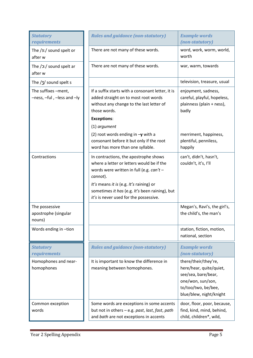| <b>Statutory</b><br>requirements                  | <b>Rules and guidance (non-statutory)</b>                                                                                                                                                                                                                                           | <b>Example words</b><br>(non-statutory)                                                                                                       |
|---------------------------------------------------|-------------------------------------------------------------------------------------------------------------------------------------------------------------------------------------------------------------------------------------------------------------------------------------|-----------------------------------------------------------------------------------------------------------------------------------------------|
| The /3:/ sound spelt or<br>after w                | There are not many of these words.                                                                                                                                                                                                                                                  | word, work, worm, world,<br>worth                                                                                                             |
| The $/$ $2$ :/ sound spelt ar<br>after w          | There are not many of these words.                                                                                                                                                                                                                                                  | war, warm, towards                                                                                                                            |
| The $/3/$ sound spelt s                           |                                                                                                                                                                                                                                                                                     | television, treasure, usual                                                                                                                   |
| The suffixes -ment,<br>-ness, -ful, -less and -ly | If a suffix starts with a consonant letter, it is<br>added straight on to most root words<br>without any change to the last letter of<br>those words.<br><b>Exceptions:</b>                                                                                                         | enjoyment, sadness,<br>careful, playful, hopeless,<br>plainness (plain + ness),<br>badly                                                      |
|                                                   | (1) argument                                                                                                                                                                                                                                                                        |                                                                                                                                               |
|                                                   | (2) root words ending in $-y$ with a<br>consonant before it but only if the root<br>word has more than one syllable.                                                                                                                                                                | merriment, happiness,<br>plentiful, penniless,<br>happily                                                                                     |
| Contractions                                      | In contractions, the apostrophe shows<br>where a letter or letters would be if the<br>words were written in full (e.g. $can't$ –<br>cannot).<br>It's means it is (e.g. It's raining) or<br>sometimes it has (e.g. It's been raining), but<br>it's is never used for the possessive. | can't, didn't, hasn't,<br>couldn't, it's, I'll                                                                                                |
| The possessive<br>apostrophe (singular<br>nouns)  |                                                                                                                                                                                                                                                                                     | Megan's, Ravi's, the girl's,<br>the child's, the man's                                                                                        |
| Words ending in -tion                             |                                                                                                                                                                                                                                                                                     | station, fiction, motion,<br>national, section                                                                                                |
| <b>Statutory</b><br>requirements                  | <b>Rules and guidance (non-statutory)</b>                                                                                                                                                                                                                                           | <b>Example words</b><br>(non-statutory)                                                                                                       |
| Homophones and near-<br>homophones                | It is important to know the difference in<br>meaning between homophones.                                                                                                                                                                                                            | there/their/they're,<br>here/hear, quite/quiet,<br>see/sea, bare/bear,<br>one/won, sun/son,<br>to/too/two, be/bee,<br>blue/blew, night/knight |
| Common exception<br>words                         | Some words are exceptions in some accents<br>but not in others - e.g. past, last, fast, path<br>and bath are not exceptions in accents                                                                                                                                              | door, floor, poor, because,<br>find, kind, mind, behind,<br>child, children*, wild,                                                           |